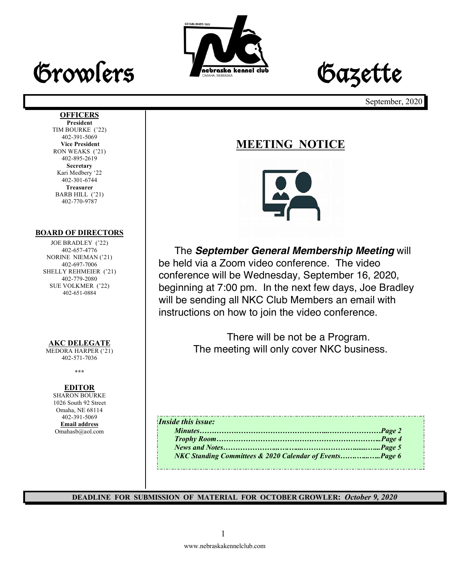



September, 2020

#### **OFFICERS**

**President** TIM BOURKE ('22) 402-391-5069 **Vice President** RON WEAKS ('21) 402-895-2619 **Secretary** Kari Medbery '22 402-301-6744 **Treasurer** BARB HILL ('21) 402-770-9787

#### **BOARD OF DIRECTORS**

JOE BRADLEY ('22) 402-657-4776 NORINE NIEMAN ('21) 402-697-7006 SHELLY REHMEIER ('21) 402-779-2080 SUE VOLKMER ('22) 402-651-0884

#### **AKC DELEGATE**

MEDORA HARPER ('21) 402-571-7036

**\*\*\***

#### **EDITOR**

SHARON BOURKE 1026 South 92 Street Omaha, NE 68114 402-391-5069 **Email address** Omahasb@aol.com

### **MEETING NOTICE**



The *September General Membership Meeting* will be held via a Zoom video conference. The video conference will be Wednesday, September 16, 2020, beginning at 7:00 pm. In the next few days, Joe Bradley will be sending all NKC Club Members an email with instructions on how to join the video conference.

> There will be not be a Program. The meeting will only cover NKC business.

### *Inside this issue: Minutes……………………………………………...…………………Page 2 Trophy Room…………………………………………………………..Page 4 News and Notes…………………...….…....………………….......…...Page 5 NKC Standing Committees & 2020 Calendar of Events…….…...…..Page 6*

**DEADLINE FOR SUBMISSION OF MATERIAL FOR OCTOBER GROWLER:** *October 9, 2020*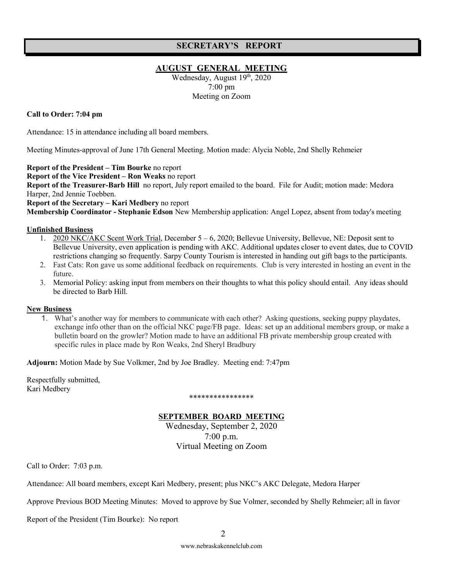#### **SECRETARY'S REPORT**

#### **AUGUST GENERAL MEETING**

Wednesday, August 19<sup>th</sup>, 2020 7:00 pm Meeting on Zoom

#### **Call to Order: 7:04 pm**

Attendance: 15 in attendance including all board members.

Meeting Minutes-approval of June 17th General Meeting. Motion made: Alycia Noble, 2nd Shelly Rehmeier

**Report of the President – Tim Bourke** no report

**Report of the Vice President – Ron Weaks** no report

**Report of the Treasurer-Barb Hill** no report, July report emailed to the board. File for Audit; motion made: Medora Harper, 2nd Jennie Toebben.

**Report of the Secretary – Kari Medbery** no report

**Membership Coordinator - Stephanie Edson** New Membership application: Angel Lopez, absent from today's meeting

#### **Unfinished Business**

- 1. 2020 NKC/AKC Scent Work Trial, December 5 6, 2020; Bellevue University, Bellevue, NE: Deposit sent to Bellevue University, even application is pending with AKC. Additional updates closer to event dates, due to COVID restrictions changing so frequently. Sarpy County Tourism is interested in handing out gift bags to the participants.
- 2. Fast Cats: Ron gave us some additional feedback on requirements. Club is very interested in hosting an event in the future.
- 3. Memorial Policy: asking input from members on their thoughts to what this policy should entail. Any ideas should be directed to Barb Hill.

#### **New Business**

1. What's another way for members to communicate with each other? Asking questions, seeking puppy playdates, exchange info other than on the official NKC page/FB page. Ideas: set up an additional members group, or make a bulletin board on the growler? Motion made to have an additional FB private membership group created with specific rules in place made by Ron Weaks, 2nd Sheryl Bradbury

**Adjourn:** Motion Made by Sue Volkmer, 2nd by Joe Bradley. Meeting end: 7:47pm

Respectfully submitted, Kari Medbery

#### \*\*\*\*\*\*\*\*\*\*\*\*\*\*\*\*

#### **SEPTEMBER BOARD MEETING**

Wednesday, September 2, 2020 7:00 p.m. Virtual Meeting on Zoom

Call to Order: 7:03 p.m.

Attendance: All board members, except Kari Medbery, present; plus NKC's AKC Delegate, Medora Harper

Approve Previous BOD Meeting Minutes: Moved to approve by Sue Volmer, seconded by Shelly Rehmeier; all in favor

Report of the President (Tim Bourke): No report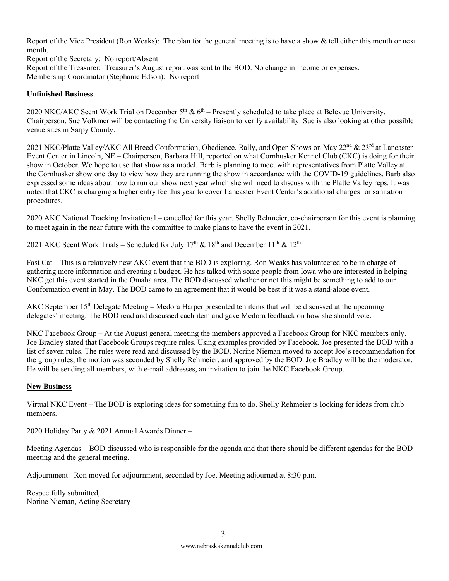Report of the Vice President (Ron Weaks): The plan for the general meeting is to have a show  $\&$  tell either this month or next month.

Report of the Secretary: No report/Absent Report of the Treasurer: Treasurer's August report was sent to the BOD. No change in income or expenses. Membership Coordinator (Stephanie Edson): No report

#### **Unfinished Business**

2020 NKC/AKC Scent Work Trial on December  $5<sup>th</sup>$  &  $6<sup>th</sup>$  – Presently scheduled to take place at Belevue University. Chairperson, Sue Volkmer will be contacting the University liaison to verify availability. Sue is also looking at other possible venue sites in Sarpy County.

2021 NKC/Platte Valley/AKC All Breed Conformation, Obedience, Rally, and Open Shows on May 22<sup>nd</sup> & 23<sup>rd</sup> at Lancaster Event Center in Lincoln, NE – Chairperson, Barbara Hill, reported on what Cornhusker Kennel Club (CKC) is doing for their show in October. We hope to use that show as a model. Barb is planning to meet with representatives from Platte Valley at the Cornhusker show one day to view how they are running the show in accordance with the COVID-19 guidelines. Barb also expressed some ideas about how to run our show next year which she will need to discuss with the Platte Valley reps. It was noted that CKC is charging a higher entry fee this year to cover Lancaster Event Center's additional charges for sanitation procedures.

2020 AKC National Tracking Invitational – cancelled for this year. Shelly Rehmeier, co-chairperson for this event is planning to meet again in the near future with the committee to make plans to have the event in 2021.

2021 AKC Scent Work Trials – Scheduled for July  $17<sup>th</sup>$  &  $18<sup>th</sup>$  and December  $11<sup>th</sup>$  &  $12<sup>th</sup>$ .

Fast Cat – This is a relatively new AKC event that the BOD is exploring. Ron Weaks has volunteered to be in charge of gathering more information and creating a budget. He has talked with some people from Iowa who are interested in helping NKC get this event started in the Omaha area. The BOD discussed whether or not this might be something to add to our Conformation event in May. The BOD came to an agreement that it would be best if it was a stand-alone event.

AKC September 15<sup>th</sup> Delegate Meeting – Medora Harper presented ten items that will be discussed at the upcoming delegates' meeting. The BOD read and discussed each item and gave Medora feedback on how she should vote.

NKC Facebook Group – At the August general meeting the members approved a Facebook Group for NKC members only. Joe Bradley stated that Facebook Groups require rules. Using examples provided by Facebook, Joe presented the BOD with a list of seven rules. The rules were read and discussed by the BOD. Norine Nieman moved to accept Joe's recommendation for the group rules, the motion was seconded by Shelly Rehmeier, and approved by the BOD. Joe Bradley will be the moderator. He will be sending all members, with e-mail addresses, an invitation to join the NKC Facebook Group.

#### **New Business**

Virtual NKC Event – The BOD is exploring ideas for something fun to do. Shelly Rehmeier is looking for ideas from club members.

2020 Holiday Party & 2021 Annual Awards Dinner –

Meeting Agendas – BOD discussed who is responsible for the agenda and that there should be different agendas for the BOD meeting and the general meeting.

Adjournment: Ron moved for adjournment, seconded by Joe. Meeting adjourned at 8:30 p.m.

Respectfully submitted, Norine Nieman, Acting Secretary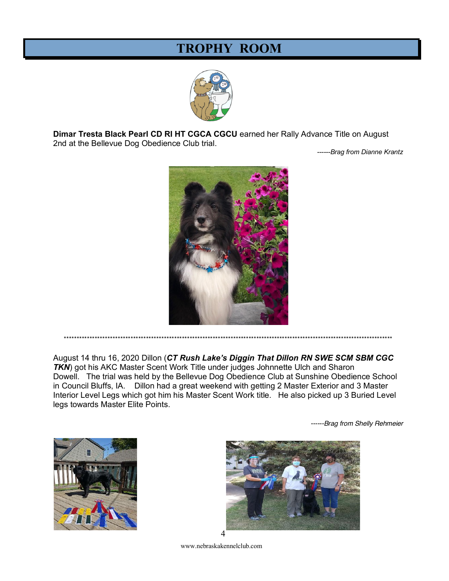## **TROPHY ROOM**



Dimar Tresta Black Pearl CD RI HT CGCA CGCU earned her Rally Advance Title on August 2nd at the Bellevue Dog Obedience Club trial.

------Brag from Dianne Krantz



August 14 thru 16, 2020 Dillon (CT Rush Lake's Diggin That Dillon RN SWE SCM SBM CGC TKN) got his AKC Master Scent Work Title under judges Johnnette Ulch and Sharon Dowell. The trial was held by the Bellevue Dog Obedience Club at Sunshine Obedience School in Council Bluffs, IA. Dillon had a great weekend with getting 2 Master Exterior and 3 Master Interior Level Legs which got him his Master Scent Work title. He also picked up 3 Buried Level

\*\*\*\*\*\*\*\*\*\*\*\*\*\*\*\*\*\*\*\*\*\*\*\*\*\*\*\*\*

legs towards Master Elite Points.

------Brag from Shelly Rehmeier



www.nebraskakennelclub.com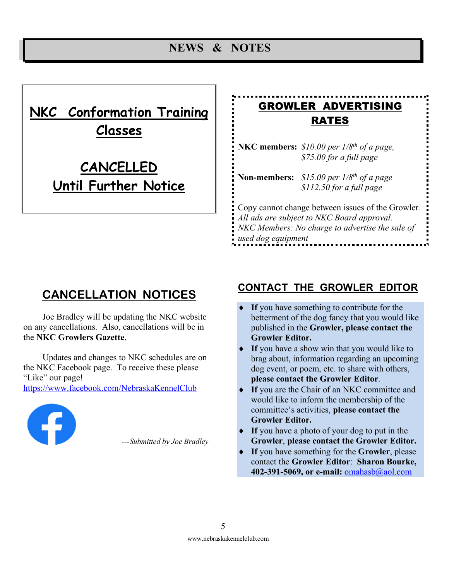### **NEWS & NOTES**

# **NKC Conformation Training Classes**

# **CANCELLED Until Further Notice**

# GROWLER ADVERTISING RATES

**NKC members:** *\$10.00 per 1/8th of a page, \$75.00 for a full page* 

**Non-members:** *\$15.00 per 1/8th of a page \$112.50 for a full page*

Copy cannot change between issues of the Growler*. All ads are subject to NKC Board approval. NKC Members: No charge to advertise the sale of used dog equipment*

# **CANCELLATION NOTICES**

Joe Bradley will be updating the NKC website on any cancellations. Also, cancellations will be in the **NKC Growlers Gazette**.

Updates and changes to NKC schedules are on the NKC Facebook page. To receive these please "Like" our page! https://www.facebook.com/NebraskaKennelClub



*---Submitted by Joe Bradley*

### **CONTACT THE GROWLER EDITOR**

- If you have something to contribute for the betterment of the dog fancy that you would like published in the **Growler, please contact the Growler Editor.**
- If you have a show win that you would like to brag about, information regarding an upcoming dog event, or poem, etc. to share with others, **please contact the Growler Editor**.
- ◆ If you are the Chair of an NKC committee and would like to inform the membership of the committee's activities, **please contact the Growler Editor.**
- If you have a photo of your dog to put in the **Growler**, **please contact the Growler Editor.**
- ◆ If you have something for the **Growler**, please contact the **Growler Editor**: **Sharon Bourke, 402-391-5069, or e-mail:** omahasb@aol.com